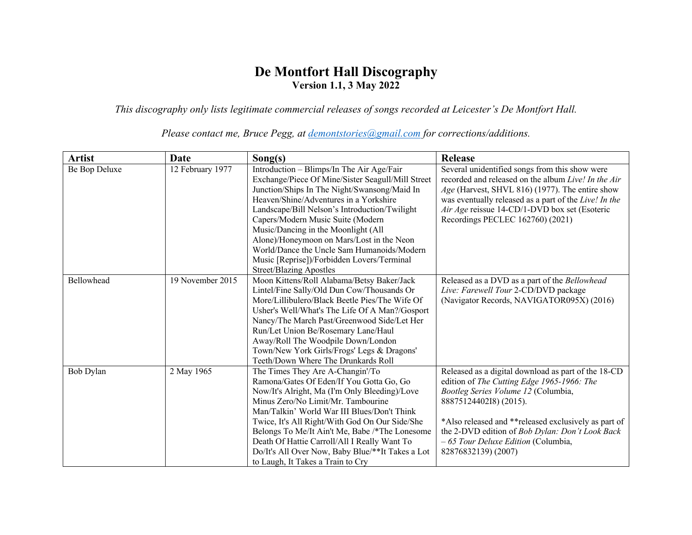## **De Montfort Hall Discography Version 1.1, 3 May 2022**

*This discography only lists legitimate commercial releases of songs recorded at Leicester's De Montfort Hall.* 

| <b>Artist</b> | Date             | Song(s)                                                                                                                                                                                                                                                                                                                                                                                                                                                                                          | Release                                                                                                                                                                                                                                                                                                                                     |
|---------------|------------------|--------------------------------------------------------------------------------------------------------------------------------------------------------------------------------------------------------------------------------------------------------------------------------------------------------------------------------------------------------------------------------------------------------------------------------------------------------------------------------------------------|---------------------------------------------------------------------------------------------------------------------------------------------------------------------------------------------------------------------------------------------------------------------------------------------------------------------------------------------|
| Be Bop Deluxe | 12 February 1977 | Introduction - Blimps/In The Air Age/Fair<br>Exchange/Piece Of Mine/Sister Seagull/Mill Street<br>Junction/Ships In The Night/Swansong/Maid In<br>Heaven/Shine/Adventures in a Yorkshire<br>Landscape/Bill Nelson's Introduction/Twilight<br>Capers/Modern Music Suite (Modern<br>Music/Dancing in the Moonlight (All<br>Alone)/Honeymoon on Mars/Lost in the Neon<br>World/Dance the Uncle Sam Humanoids/Modern<br>Music [Reprise])/Forbidden Lovers/Terminal<br><b>Street/Blazing Apostles</b> | Several unidentified songs from this show were<br>recorded and released on the album Live! In the Air<br>Age (Harvest, SHVL 816) (1977). The entire show<br>was eventually released as a part of the Live! In the<br>Air Age reissue 14-CD/1-DVD box set (Esoteric<br>Recordings PECLEC 162760) (2021)                                      |
| Bellowhead    | 19 November 2015 | Moon Kittens/Roll Alabama/Betsy Baker/Jack<br>Lintel/Fine Sally/Old Dun Cow/Thousands Or<br>More/Lillibulero/Black Beetle Pies/The Wife Of<br>Usher's Well/What's The Life Of A Man?/Gosport<br>Nancy/The March Past/Greenwood Side/Let Her<br>Run/Let Union Be/Rosemary Lane/Haul<br>Away/Roll The Woodpile Down/London<br>Town/New York Girls/Frogs' Legs & Dragons'<br>Teeth/Down Where The Drunkards Roll                                                                                    | Released as a DVD as a part of the Bellowhead<br>Live: Farewell Tour 2-CD/DVD package<br>(Navigator Records, NAVIGATOR095X) (2016)                                                                                                                                                                                                          |
| Bob Dylan     | 2 May 1965       | The Times They Are A-Changin'/To<br>Ramona/Gates Of Eden/If You Gotta Go, Go<br>Now/It's Alright, Ma (I'm Only Bleeding)/Love<br>Minus Zero/No Limit/Mr. Tambourine<br>Man/Talkin' World War III Blues/Don't Think<br>Twice, It's All Right/With God On Our Side/She<br>Belongs To Me/It Ain't Me, Babe /*The Lonesome<br>Death Of Hattie Carroll/All I Really Want To<br>Do/It's All Over Now, Baby Blue/**It Takes a Lot<br>to Laugh, It Takes a Train to Cry                                  | Released as a digital download as part of the 18-CD<br>edition of The Cutting Edge 1965-1966: The<br>Bootleg Series Volume 12 (Columbia,<br>8887512440218) (2015).<br>*Also released and **released exclusively as part of<br>the 2-DVD edition of Bob Dylan: Don't Look Back<br>- 65 Tour Deluxe Edition (Columbia,<br>82876832139) (2007) |

*Please contact me, Bruce Pegg, at demontstories@gmail.com for corrections/additions.*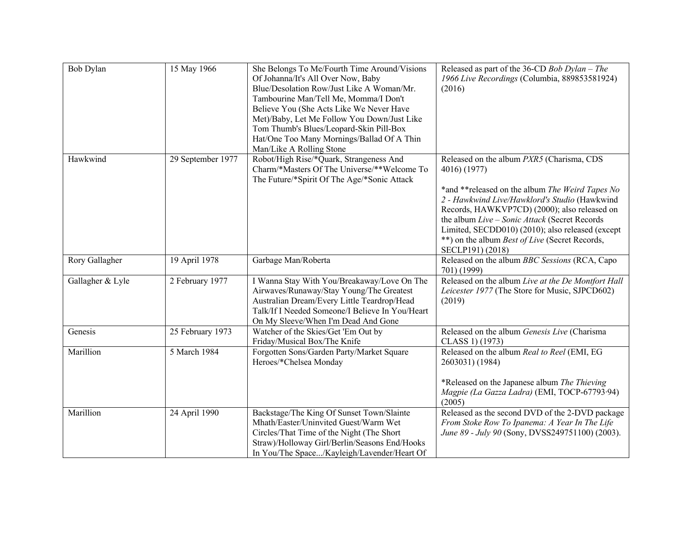| Bob Dylan        | 15 May 1966       | She Belongs To Me/Fourth Time Around/Visions<br>Of Johanna/It's All Over Now, Baby<br>Blue/Desolation Row/Just Like A Woman/Mr.<br>Tambourine Man/Tell Me, Momma/I Don't<br>Believe You (She Acts Like We Never Have<br>Met)/Baby, Let Me Follow You Down/Just Like<br>Tom Thumb's Blues/Leopard-Skin Pill-Box<br>Hat/One Too Many Mornings/Ballad Of A Thin<br>Man/Like A Rolling Stone | Released as part of the 36-CD Bob Dylan - The<br>1966 Live Recordings (Columbia, 889853581924)<br>(2016)                                                                                                                                                                                                                           |
|------------------|-------------------|------------------------------------------------------------------------------------------------------------------------------------------------------------------------------------------------------------------------------------------------------------------------------------------------------------------------------------------------------------------------------------------|------------------------------------------------------------------------------------------------------------------------------------------------------------------------------------------------------------------------------------------------------------------------------------------------------------------------------------|
| Hawkwind         | 29 September 1977 | Robot/High Rise/*Quark, Strangeness And<br>Charm/*Masters Of The Universe/**Welcome To<br>The Future/*Spirit Of The Age/*Sonic Attack                                                                                                                                                                                                                                                    | Released on the album PXR5 (Charisma, CDS<br>4016) (1977)                                                                                                                                                                                                                                                                          |
|                  |                   |                                                                                                                                                                                                                                                                                                                                                                                          | *and **released on the album The Weird Tapes No<br>2 - Hawkwind Live/Hawklord's Studio (Hawkwind<br>Records, HAWKVP7CD) (2000); also released on<br>the album Live - Sonic Attack (Secret Records<br>Limited, SECDD010) (2010); also released (except<br>**) on the album <i>Best of Live</i> (Secret Records,<br>SECLP191) (2018) |
| Rory Gallagher   | 19 April 1978     | Garbage Man/Roberta                                                                                                                                                                                                                                                                                                                                                                      | Released on the album BBC Sessions (RCA, Capo<br>701) (1999)                                                                                                                                                                                                                                                                       |
| Gallagher & Lyle | 2 February 1977   | I Wanna Stay With You/Breakaway/Love On The<br>Airwaves/Runaway/Stay Young/The Greatest<br>Australian Dream/Every Little Teardrop/Head<br>Talk/If I Needed Someone/I Believe In You/Heart<br>On My Sleeve/When I'm Dead And Gone                                                                                                                                                         | Released on the album Live at the De Montfort Hall<br>Leicester 1977 (The Store for Music, SJPCD602)<br>(2019)                                                                                                                                                                                                                     |
| Genesis          | 25 February 1973  | Watcher of the Skies/Get 'Em Out by<br>Friday/Musical Box/The Knife                                                                                                                                                                                                                                                                                                                      | Released on the album Genesis Live (Charisma<br>CLASS 1) (1973)                                                                                                                                                                                                                                                                    |
| Marillion        | 5 March 1984      | Forgotten Sons/Garden Party/Market Square<br>Heroes/*Chelsea Monday                                                                                                                                                                                                                                                                                                                      | Released on the album Real to Reel (EMI, EG<br>2603031) (1984)<br>*Released on the Japanese album The Thieving<br>Magpie (La Gazza Ladra) (EMI, TOCP-67793.94)<br>(2005)                                                                                                                                                           |
| Marillion        | 24 April 1990     | Backstage/The King Of Sunset Town/Slainte<br>Mhath/Easter/Uninvited Guest/Warm Wet<br>Circles/That Time of the Night (The Short<br>Straw)/Holloway Girl/Berlin/Seasons End/Hooks<br>In You/The Space/Kayleigh/Lavender/Heart Of                                                                                                                                                          | Released as the second DVD of the 2-DVD package<br>From Stoke Row To Ipanema: A Year In The Life<br>June 89 - July 90 (Sony, DVSS249751100) (2003).                                                                                                                                                                                |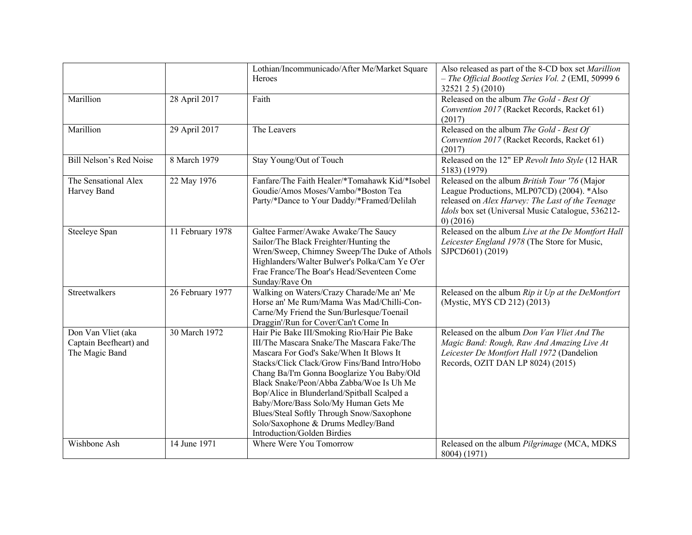|                                                                |                  | Lothian/Incommunicado/After Me/Market Square<br>Heroes                                                                                                                                                                                                                                                                                                                                                                                                                                  | Also released as part of the 8-CD box set Marillion<br>- The Official Bootleg Series Vol. 2 (EMI, 50999 6<br>32521 2 5) (2010)                                                                                      |
|----------------------------------------------------------------|------------------|-----------------------------------------------------------------------------------------------------------------------------------------------------------------------------------------------------------------------------------------------------------------------------------------------------------------------------------------------------------------------------------------------------------------------------------------------------------------------------------------|---------------------------------------------------------------------------------------------------------------------------------------------------------------------------------------------------------------------|
| Marillion                                                      | 28 April 2017    | Faith                                                                                                                                                                                                                                                                                                                                                                                                                                                                                   | Released on the album The Gold - Best Of<br>Convention 2017 (Racket Records, Racket 61)<br>(2017)                                                                                                                   |
| Marillion                                                      | 29 April 2017    | The Leavers                                                                                                                                                                                                                                                                                                                                                                                                                                                                             | Released on the album The Gold - Best Of<br>Convention 2017 (Racket Records, Racket 61)<br>(2017)                                                                                                                   |
| Bill Nelson's Red Noise                                        | 8 March 1979     | Stay Young/Out of Touch                                                                                                                                                                                                                                                                                                                                                                                                                                                                 | Released on the 12" EP Revolt Into Style (12 HAR<br>5183) (1979)                                                                                                                                                    |
| The Sensational Alex<br>Harvey Band                            | 22 May 1976      | Fanfare/The Faith Healer/*Tomahawk Kid/*Isobel<br>Goudie/Amos Moses/Vambo/*Boston Tea<br>Party/*Dance to Your Daddy/*Framed/Delilah                                                                                                                                                                                                                                                                                                                                                     | Released on the album British Tour '76 (Major<br>League Productions, MLP07CD) (2004). *Also<br>released on Alex Harvey: The Last of the Teenage<br>Idols box set (Universal Music Catalogue, 536212-<br>$0)$ (2016) |
| Steeleye Span                                                  | 11 February 1978 | Galtee Farmer/Awake Awake/The Saucy<br>Sailor/The Black Freighter/Hunting the<br>Wren/Sweep, Chimney Sweep/The Duke of Athols<br>Highlanders/Walter Bulwer's Polka/Cam Ye O'er<br>Frae France/The Boar's Head/Seventeen Come<br>Sunday/Rave On                                                                                                                                                                                                                                          | Released on the album Live at the De Montfort Hall<br>Leicester England 1978 (The Store for Music,<br>SJPCD601) (2019)                                                                                              |
| Streetwalkers                                                  | 26 February 1977 | Walking on Waters/Crazy Charade/Me an' Me<br>Horse an' Me Rum/Mama Was Mad/Chilli-Con-<br>Carne/My Friend the Sun/Burlesque/Toenail<br>Draggin'/Run for Cover/Can't Come In                                                                                                                                                                                                                                                                                                             | Released on the album Rip it Up at the DeMontfort<br>(Mystic, MYS CD 212) (2013)                                                                                                                                    |
| Don Van Vliet (aka<br>Captain Beefheart) and<br>The Magic Band | 30 March 1972    | Hair Pie Bake III/Smoking Rio/Hair Pie Bake<br>III/The Mascara Snake/The Mascara Fake/The<br>Mascara For God's Sake/When It Blows It<br>Stacks/Click Clack/Grow Fins/Band Intro/Hobo<br>Chang Ba/I'm Gonna Booglarize You Baby/Old<br>Black Snake/Peon/Abba Zabba/Woe Is Uh Me<br>Bop/Alice in Blunderland/Spitball Scalped a<br>Baby/More/Bass Solo/My Human Gets Me<br>Blues/Steal Softly Through Snow/Saxophone<br>Solo/Saxophone & Drums Medley/Band<br>Introduction/Golden Birdies | Released on the album Don Van Vliet And The<br>Magic Band: Rough, Raw And Amazing Live At<br>Leicester De Montfort Hall 1972 (Dandelion<br>Records, OZIT DAN LP 8024) (2015)                                        |
| Wishbone Ash                                                   | 14 June 1971     | Where Were You Tomorrow                                                                                                                                                                                                                                                                                                                                                                                                                                                                 | Released on the album Pilgrimage (MCA, MDKS<br>8004) (1971)                                                                                                                                                         |